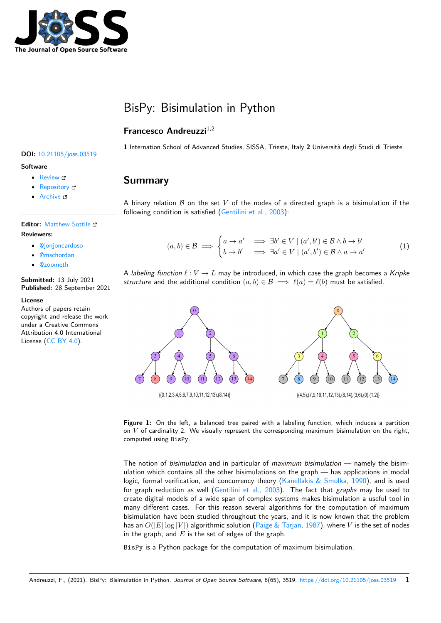

# BisPy: Bisimulation in Python

#### **Francesco Andreuzzi**1,2

**DOI:** 10.21105/joss.03519

#### **Software**

- Review C
- [Repository](https://doi.org/10.21105/joss.03519) &
- Archive

# **Editor:** [Matthew](https://github.com/fAndreuzzi/BisPy) Sottile

#### **Revie[wers:](https://doi.org/10.5281/zenodo.5532910)**

- @jonjoncardoso
- @mschordan
- @[zoometh](https://computing.llnl.gov/casc)

**Submitted:** [13 July 2](https://github.com/jonjoncardoso)021 **Published:** [28 Sept](https://github.com/mschordan)ember 2021

#### **License**

Autho[rs of paper](https://github.com/zoometh)s retain copyright and release the work under a Creative Commons Attribution 4.0 International License (CC BY 4.0).

**1** Internation School of Advanced Studies, SISSA, Trieste, Italy **2** Università degli Studi di Trieste

#### **Summary**

A binary relation *B* on the set *V* of the nodes of a directed graph is a bisimulation if the following condition is satisfied (Gentilini et al., 2003):

$$
(a,b) \in \mathcal{B} \implies \begin{cases} a \to a' & \implies \exists b' \in V \mid (a',b') \in \mathcal{B} \land b \to b' \\ b \to b' & \implies \exists a' \in V \mid (a',b') \in \mathcal{B} \land a \to a' \end{cases} \tag{1}
$$

A *labeling function*  $\ell: V \to L$  may be introduced, in which case the graph becomes a *Kripke structure* and the additional condition  $(a, b) \in \mathcal{B} \implies \ell(a) = \ell(b)$  must be satisfied.





The notion of *bisimulation* and in particular of *maximum bisimulation* — namely the bisimulation which contains all the other bisimulations on the graph — has applications in modal logic, formal verification, and concurrency theory (Kanellakis & Smolka, 1990), and is used for graph reduction as well (Gentilini et al., 2003). The fact that *graphs* may be used to create digital models of a wide span of complex systems makes bisimulation a useful tool in many different cases. For this reason several algorithms for the computation of maximum bisimulation have been studied throughout the yea[rs, and it is now known tha](#page-4-0)t the problem has an  $O(|E|\log|V|)$  algorith[mic solution \(Paige &](#page-3-0) Tarjan, 1987), where V is the set of nodes in the graph, and *E* is the set of edges of the graph.

BisPy is a Python package for the computation of maximum bisimulation.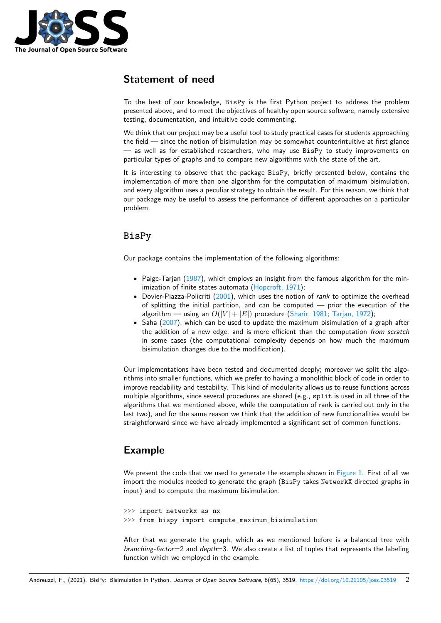

# **Statement of need**

To the best of our knowledge, BisPy is the first Python project to address the problem presented above, and to meet the objectives of healthy open source software, namely extensive testing, documentation, and intuitive code commenting.

We think that our project may be a useful tool to study practical cases for students approaching the field — since the notion of bisimulation may be somewhat counterintuitive at first glance — as well as for established researchers, who may use BisPy to study improvements on particular types of graphs and to compare new algorithms with the state of the art.

It is interesting to observe that the package BisPy, briefly presented below, contains the implementation of more than one algorithm for the computation of maximum bisimulation, and every algorithm uses a peculiar strategy to obtain the result. For this reason, we think that our package may be useful to assess the performance of different approaches on a particular problem.

# **BisPy**

Our package contains the implementation of the following algorithms:

- Paige-Tarjan (1987), which employs an insight from the famous algorithm for the minimization of finite states automata (Hopcroft, 1971);
- Dovier-Piazza-Policriti (2001), which uses the notion of *rank* to optimize the overhead of splitting the initial partition, and can be computed — prior the execution of the algorithm — [using](#page-4-1) an  $O(|V| + |E|)$  procedure (Sharir, 1981; Tarjan, 1972);
- **•** Saha (2007), which can be used to [update the max](#page-4-2)imum bisimulation of a graph after the addition of a new [edge,](#page-3-1) and is more efficient than the computation *from scratch* in some cases (the computational complexity depends on how much the maximum bisimulation changes due to the modification).

Our implementations have been tested and documented deeply; moreover we split the algorithms into smaller functions, which we prefer to having a monolithic block of code in order to improve readability and testability. This kind of modularity allows us to reuse functions across multiple algorithms, since several procedures are shared (e.g., split is used in all three of the algorithms that we mentioned above, while the computation of rank is carried out only in the last two), and for the same reason we think that the addition of new functionalities would be straightforward since we have already implemented a significant set of common functions.

# **Example**

We present the code that we used to generate the example shown in Figure 1. First of all we import the modules needed to generate the graph (BisPy takes NetworkX directed graphs in input) and to compute the maximum bisimulation.

>>> import networkx as nx >>> from bispy import compute\_maximum\_bisimulation

After that we generate the graph, which as we mentioned before is a balanced tree with *branching-factor*=2 and *depth*=3. We also create a list of tuples that represents the labeling function which we employed in the example.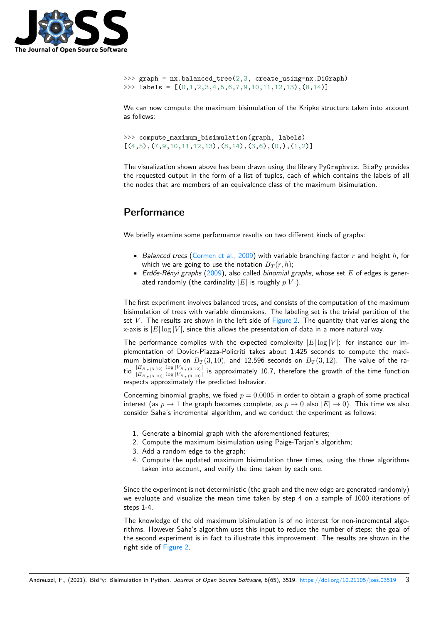

```
>>> graph = nx.balanced_tree(2,3, create_using=nx.DiGraph)
>>> labels = [(0,1,2,3,4,5,6,7,9,10,11,12,13), (8,14)]
```
We can now compute the maximum bisimulation of the Kripke structure taken into account as follows:

>>> compute\_maximum\_bisimulation(graph, labels)  $[(4,5), (7,9,10,11,12,13), (8,14), (3,6), (0,), (1,2)]$ 

The visualization shown above has been drawn using the library PyGraphviz. BisPy provides the requested output in the form of a list of tuples, each of which contains the labels of all the nodes that are members of an equivalence class of the maximum bisimulation.

### **Performance**

We briefly examine some performance results on two different kinds of graphs:

- *Balanced trees* (Cormen et al., 2009) with variable branching factor *r* and height *h*, for which we are going to use the notation  $B_T(r, h)$ ;
- *Erdős-Rényi graphs* (2009), also called *binomial graphs*, whose set *E* of edges is generated randomly (the cardinality  $|E|$  $|E|$  is roughly  $p|V|$ ).

The first experiment involves balanced trees, and consists of the computation of the maximum bisimulation of trees with [variab](#page-3-2)le dimensions. The labeling set is the trivial partition of the set *V*. The results are shown in the left side of Figure 2. The quantity that varies along the x-axis is  $|E| \log |V|$ , since this allows the presentation of data in a more natural way.

The performance complies with the expected complexity  $|E| \log |V|$ : for instance our implementation of Dovier-Piazza-Policriti takes about 1.425 seconds to compute the maximum bisimulation on  $B_T(3, 10)$ , and 12.596 s[econds o](#page-3-3)n  $B_T(3, 12)$ . The value of the ratio  $\frac{|E_{B_T(3,12)}| \log |V_{B_T(3,10)}|}{|E_{B_T(3,10)}| \log |V_{B_T(3,10)}|}$  is approximately 10.7, therefore the growth of the time function respects approximately the predicted behavior.

Concerning binomial graphs, we fixed *p* = 0*.*0005 in order to obtain a graph of some practical interest (as  $p \rightarrow 1$  the graph becomes complete, as  $p \rightarrow 0$  also  $|E| \rightarrow 0$ ). This time we also consider Saha's incremental algorithm, and we conduct the experiment as follows:

- 1. Generate a binomial graph with the aforementioned features;
- 2. Compute the maximum bisimulation using Paige-Tarjan's algorithm;
- 3. Add a random edge to the graph;
- 4. Compute the updated maximum bisimulation three times, using the three algorithms taken into account, and verify the time taken by each one.

Since the experiment is not deterministic (the graph and the new edge are generated randomly) we evaluate and visualize the mean time taken by step 4 on a sample of 1000 iterations of steps 1-4.

The knowledge of the old maximum bisimulation is of no interest for non-incremental algorithms. However Saha's algorithm uses this input to reduce the number of steps: the goal of the second experiment is in fact to illustrate this improvement. The results are shown in the right side of Figure 2.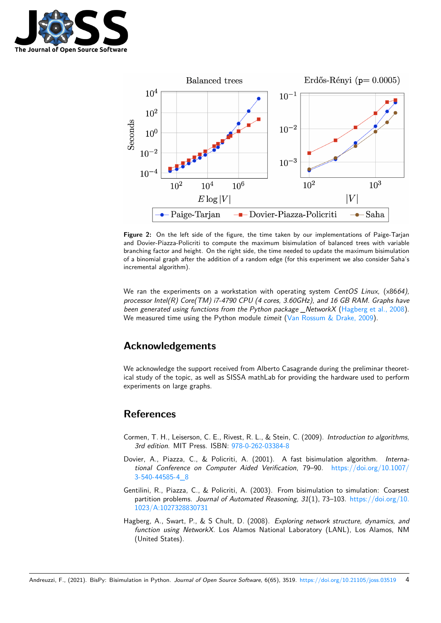

<span id="page-3-3"></span>

**Figure 2:** On the left side of the figure, the time taken by our implementations of Paige-Tarjan and Dovier-Piazza-Policriti to compute the maximum bisimulation of balanced trees with variable branching factor and height. On the right side, the time needed to update the maximum bisimulation of a binomial graph after the addition of a random edge (for this experiment we also consider Saha's incremental algorithm).

We ran the experiments on a workstation with operating system *CentOS Linux*, (x86*64), processor Intel(R) Core(TM) i7-4790 CPU (4 cores, 3.60GHz), and 16 GB RAM. Graphs have been generated using functions from the Python package \_NetworkX* (Hagberg et al., 2008). We measured time using the Python module *timeit* (Van Rossum & Drake, 2009).

### **Acknowledgements**

We acknowledge the support received from Alberto Casagrande during the preliminar theoretical study of the topic, as well as SISSA mathLab for providing the hardware used to perform experiments on large graphs.

# **References**

- Cormen, T. H., Leiserson, C. E., Rivest, R. L., & Stein, C. (2009). *Introduction to algorithms, 3rd edition*. MIT Press. ISBN: 978-0-262-03384-8
- <span id="page-3-2"></span>Dovier, A., Piazza, C., & Policriti, A. (2001). A fast bisimulation algorithm. *International Conference on Computer Aided Verification*, 79–90. https://doi.org/10.1007/ 3-540-44585-4\_8
- <span id="page-3-1"></span>Gentilini, R., Piazza, C., & Policri[ti, A. \(2003\). From](https://worldcat.org/isbn/978-0-262-03384-8) bisimulation to simulation: Coarsest partition problems. *Journal of Automated Reasoning*, *31*(1), 73–103. [https://doi.org/10.](https://doi.org/10.1007/3-540-44585-4_8) [1023/A:10273288](https://doi.org/10.1007/3-540-44585-4_8)30731
- <span id="page-3-0"></span>Hagberg, A., Swart, P., & S Chult, D. (2008). *Exploring network structure, dynamics, and function using NetworkX*. Los Alamos National Laboratory (LANL)[, Los Alamos, NM](https://doi.org/10.1023/A:1027328830731) [\(United States\).](https://doi.org/10.1023/A:1027328830731)